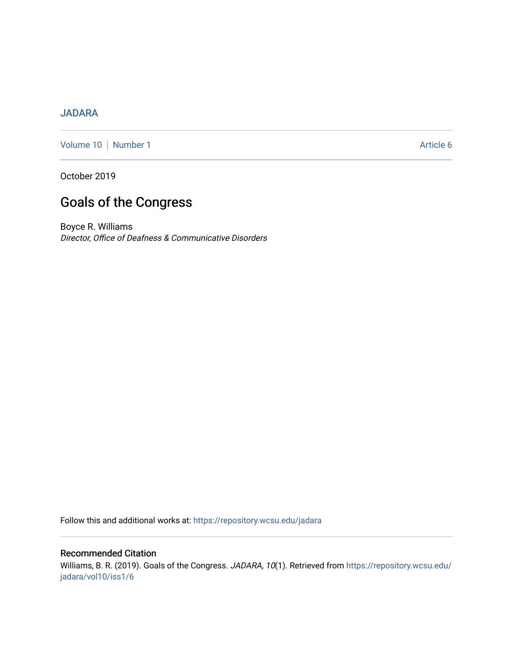### [JADARA](https://repository.wcsu.edu/jadara)

[Volume 10](https://repository.wcsu.edu/jadara/vol10) | [Number 1](https://repository.wcsu.edu/jadara/vol10/iss1) Article 6

October 2019

# Goals of the Congress

Boyce R. Williams Director, Office of Deafness & Communicative Disorders

Follow this and additional works at: [https://repository.wcsu.edu/jadara](https://repository.wcsu.edu/jadara?utm_source=repository.wcsu.edu%2Fjadara%2Fvol10%2Fiss1%2F6&utm_medium=PDF&utm_campaign=PDFCoverPages)

### Recommended Citation

Williams, B. R. (2019). Goals of the Congress. JADARA, 10(1). Retrieved from [https://repository.wcsu.edu/](https://repository.wcsu.edu/jadara/vol10/iss1/6?utm_source=repository.wcsu.edu%2Fjadara%2Fvol10%2Fiss1%2F6&utm_medium=PDF&utm_campaign=PDFCoverPages) [jadara/vol10/iss1/6](https://repository.wcsu.edu/jadara/vol10/iss1/6?utm_source=repository.wcsu.edu%2Fjadara%2Fvol10%2Fiss1%2F6&utm_medium=PDF&utm_campaign=PDFCoverPages)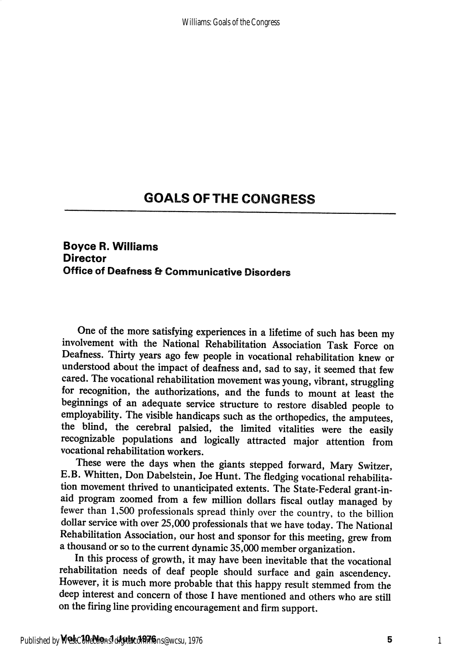## GOALS OFTHE CONGRESS

### Boyce R. Williams **Director** Office of Deafness & Communicative Disorders

One of the more satisfying experiences in a lifetime of such has been my involvement with the National Rehabilitation Association Task Force on Deafness. Thirty years ago few people in vocational rehabilitation knew or understood about the impact of deafness and, sad to say, it seemed that few cared. The vocational rehabilitation movement was young, vibrant, struggling for recognition, the authorizations, and the funds to mount at least the beginnings of an adequate service structure to restore disabled people to employability. The visible handicaps such as the orthopedics, the amputees, the blind, the cerebral palsied, the limited vitalities were the easily recognizable populations and logically attracted major attention from vocational rehabilitation workers.

These were the days when the giants stepped forward, Mary Switzer, E.B. Whitten, Don Dabelstein, Joe Hunt. The fledging vocational rehabilita tion movement thrived to unanticipated extents. The State-Federal grant-inaid program zoomed from a few million dollars fiscal outlay managed by fewer than 1,500 professionals spread thinly over the country, to the billion dollar service with over 25,000 professionals that we have today. The National Rehabilitation Association, our host and sponsor for this meeting, grew from a thousand or so to the current dynamic  $35,000$  member organization.

In this process of growth, it may have been inevitable that the vocational rehabilitation needs of deaf people should surface and gain ascendency. However, it is much more probable that this happy result stemmed from the deep interest and concern of those I have mentioned and others who are still on the firing line providing encouragement and firm support.